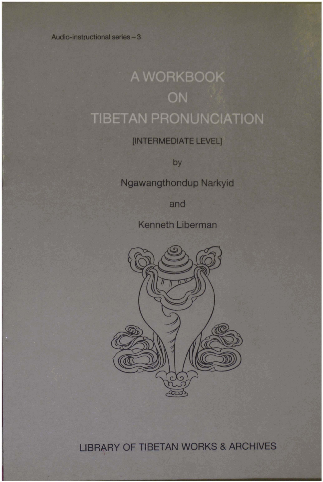Audio-instructional series - 3

# A WORKBOOK ON **TIBETAN PRONUNCIATION**

## [INTERMEDIATE LEVEL]

by

Ngawangthondup Narkyid

and

**Kenneth Liberman** 



**LIBRARY OF TIBETAN WORKS & ARCHIVES**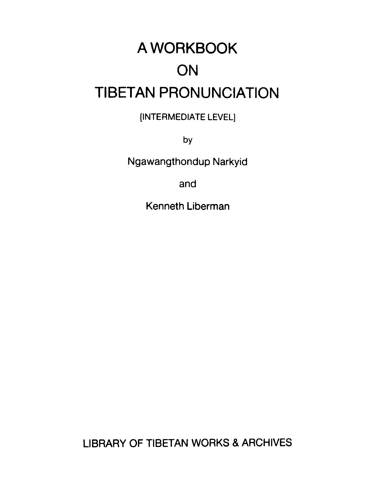# A WORKBOOK ON TIBETAN PRONUNCIATION

[INTERMEDIATE LEVEL]

**by** 

Ngawangthondup Narkyid

and

Kenneth Liberman

LIBRARY OF TIBETAN WORKS & ARCHIVES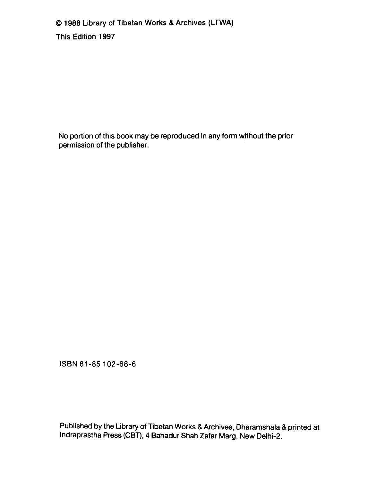O **1988 Library of Tibetan Works** & **Archives (LTWA) This Edition 1997** 

**No portion of this book may be reproduced in any form without the prior permission of the publisher.** 

**ISBN 81 -85 102-68-6** 

**Published by the Library of Tibetan Works &Archives, Dharamshala** & **printed at lndraprastha Press (CBT), 4 Bahadur Shah Zafar Marg, New Delhi-2.**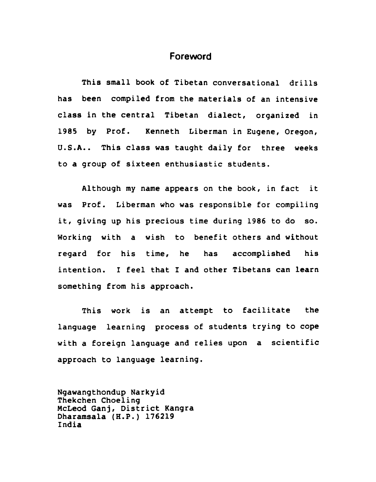#### **Foreword**

**This small book of Tibetan conversational drills has been compiled from the materials of an intensive class in the central Tibetan dialect, organized in 1985 by Prof. Kenneth Liberman in Eugene, Oregon, U.S.A.. This class was taught daily for three weeks to a group of sixteen enthusiastic students.** 

**Although my name appears on the book, in fact it was Prof. Liberman who was responsible for compiling it, giving up his precious time during 1986 to do so. Working with a wish to benefit others and without regard for his time, he has accomplished his intention. I feel that I and other Tibetans can learn**  something from his approach.

**This work is an attempt to facilitate the language learning process of students trying to cope with a foreign language and relies upon a scientific approach to language learning.** 

**Ngawangthondup Narkyid Thekchen Choeling McLeod Ganj, District Kangra Dharamsala (H.P.) 176219 India**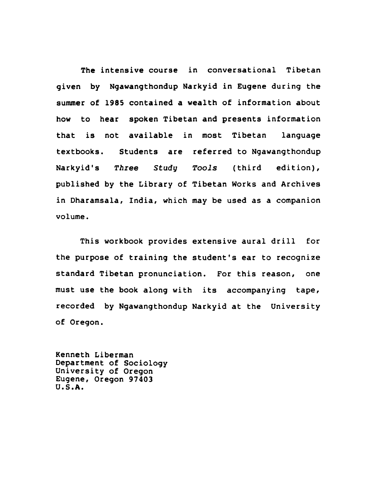**The intensive course in conversational Tibetan given by Ngawangthondup Narkyid in Eugene during the summer of 1985 contained a wealth of information about how to hear spoken Tibetan and presents information that is not available in most Tibetan language textbooks. Students are referred to Ngawangthondup Narkyid's** *Three* **Study** *Tools* **(third edition), published by the Library of Tibetan Works and Archives in Dharamsala, India, which may be used as a companion volume.** 

**This workbook provides extensive aural drill for the purpose of training the student's ear to recognize standard Tibetan pronunciation. For this reason, one must use the book along with its accompanying tape, recorded by Ngawangthondup Narkyid at the University of Oregon.** 

**Kenneth Liberman Department of Sociology University of Oregon Eugene, Oregon 97403 U.S.A.**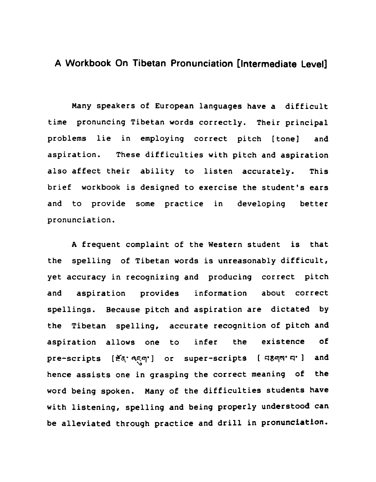#### **A Workbook On Tibetan Pronunciation [Intermediate Level]**

Many speakers of European languages have a difficult time pronuncing Tibetan words correctly. Their principal problems lie in employing correct pitch [tone] and aspiration. These difficulties with pitch and aspiration also affect their ability to listen accurately. This brief workbook is designed to exercise the student's ears and to provide some practice in developing better pronunciation.

**A** frequent complaint of the Western student is that the spelling of Tibetan words is unreasonably difficult, yet accuracy in recognizing and producing correct pitch and aspiration provides information about correct spellings. Because pitch and aspiration are dictated by the Tibetan spelling, accurate recognition of pitch and aspiration allows one to infer the existence of pre-scripts [ $\leq a \leq q'$ ] or super-scripts [ q $\leq q'$  and hence assists one in grasping the correct meaning of the word being spoken. Many of the difficulties students have with listening, spelling and being properly understood can be alleviated through practice and drill in pronunciation.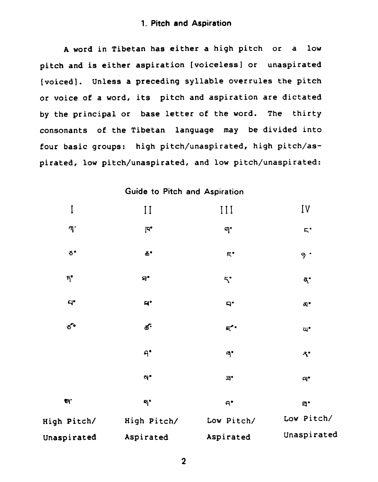#### **1. Pitch and Aspiration**

**A** word in Tibetan has either a high pitch or a low pitch and is either aspiration [voiceless] or unaspirated [voiced]. Unless a preceding syllable overrules the pitch or voice of a word, its pitch and aspiration are dictated by the principal or base letter of the word. The thirty consonants of the Tibetan language may be divided into four basic groups: high pitch/unaspirated, high pitch/aspirated, low pitch/unaspirated, and low pitch/unaspirated:

Guide **to Pitch** and Aspiration

| I                      | $\prod$                | III                    | IV                   |
|------------------------|------------------------|------------------------|----------------------|
| ጣ`                     | $\mathbf{F}^\bullet$   | न'                     | $\mathsf{F}^\bullet$ |
| $\delta$ .             | $\pmb{\Phi}^\bullet$   | $\mathbf{g}^{\bullet}$ | 9.                   |
| $\mathbf{h}^\bullet$   | $\mathbf{a}$           | $5^{\circ}$            | ₫.                   |
| $\mathbf{q}^{\bullet}$ | $\mathbf{z}$           | $\mathbf{p}$           | ন্স*                 |
| $5^{\circ}$            | <b>క</b> •             | $\mathbf{F}^{\bullet}$ | $\mathbf{u}^\bullet$ |
|                        | $\mathbf{H}^{\bullet}$ | ٩٠                     | <b>べ</b>             |
|                        | N°                     | $\Xi^\bullet$          | $\mathsf{a}^\bullet$ |
| $\mathcal{U}.$         | ๆ•                     | $\mathsf{R}^{\bullet}$ | $\mathbf{a}$         |
| High Pitch/            | High Pitch/            | Low Pitch/             | Low Pitch/           |
| Unaspirated            | Aspirated              | Aspirated              | Unaspirated          |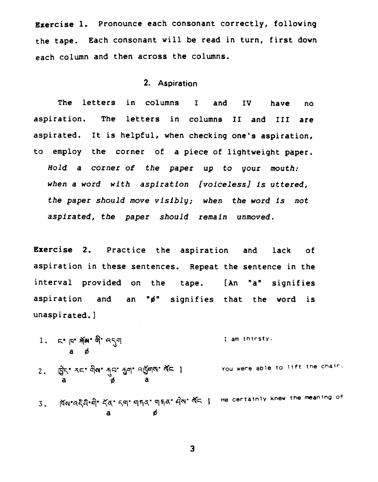**Exercise 1.** Pronounce each consonant correctly, following **the tape. Each consonant will be read in turn, first down each column and then across the columns.** 

#### **2. Aspiration**

**The letters in columns I and IV have no aspiration. The letters in columns I1 and I11 are aspirated. It is helpful, when checking one's aspiration, to employ the corner of a piece of lightweight paper. Hold a corner of the paper up to your mouth: when a word with aspiration [voiceless] is uttered, the paper should move visibly; when the word is not aspirated, the paper should remain unmoved.** 

**Exercise 2. Practice the aspiration and lack of aspiration in these sentences. Repeat the sentence in the**  interval provided on the tape. [An "a" signifies **aspiration and an** *"8"* **signifies that the word is unaspirated.1** 

- 1. 5° pr<sup>3</sup> m 3° pr<sub>3</sub>q I **am thirsty.**
- $Y_{\text{OU}}$  were able to lift the chair. 2. **क्षे<sup>र</sup> रद पोष मृत नुन बर्बुना पेंद** ।<br>a *ø* a

3. **ห้ญ\*คลิคิ๊\*ผิ๊\* สัจ\* รฺ๚ฺ ๚ฺธฺสฺ ๚ฺธฺสฺ + ผิฺญ\* สัธ | He certainly knew the meaning of a B** 

 $\overline{\mathbf{3}}$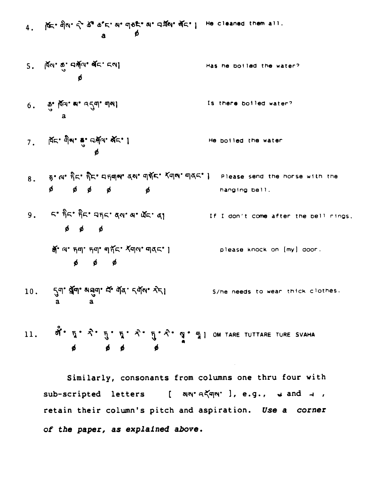4. Act - 이제 수 속에 속 다 해 이야기 위해 여행에 있다. He cleaned them all.<br>a p

- $5.$   $\overline{M}$ <br/> $\overline{\phi}$  and  $\overline{\phi}$  and  $\overline{\phi}$ Has he boiled the water?
- $6.$   $\frac{3}{9}$   $\frac{3}{9}$   $\frac{3}{9}$   $\frac{3}{9}$   $\frac{3}{9}$   $\frac{3}{9}$   $\frac{3}{9}$   $\frac{3}{9}$   $\frac{3}{9}$   $\frac{3}{9}$   $\frac{3}{9}$   $\frac{3}{9}$   $\frac{3}{9}$   $\frac{3}{9}$   $\frac{3}{9}$   $\frac{3}{9}$   $\frac{3}{9}$   $\frac{3}{9}$   $\frac{3}{9}$   $\frac{3}{9}$   $\frac{3}{9}$   $\frac{3}{$ Is there boiled water?
- $7.$ He boiled the water
- ह• வ• நிக• நிக• புந்துல• தல• துத்த• தீதுல• தக்கர் அதிக• ) Please send the horse with the  $8<sub>z</sub>$  $\phi$   $\phi$   $\phi$   $\phi$   $\phi$ hanging bell.
- 9. 5'  $\hat{p}$ 5'  $\hat{p}$ 5'  $\hat{q}$ 5'  $\alpha$ 9'  $\alpha$ 5'  $\alpha$ <sub>1</sub> If I don't come after the bell rings.  $\phi$   $\phi$   $\phi$ 
	- a a mp = please knock on (my) door.  $\phi$   $\phi$   $\phi$
- 10. 5미 접미 허리 여러 여러 이 S/ne needs to wear thick clothes.<br>a a a

ตั้ง ธุง จิ๋ง ธุง จิ๋ง จิ๋ง จิ๋ง [ วิ๋ง จิ๋ง ] OM TARE TUTTARE TURE SVAHA<br>ต่อ ต่อ ต่ 11.

Similarly, consonants from columns one thru four with sub-scripted letters [ an'akqn' ], e.g., w and u, retain their column's pitch and aspiration. Use a corner of the paper, as explained above.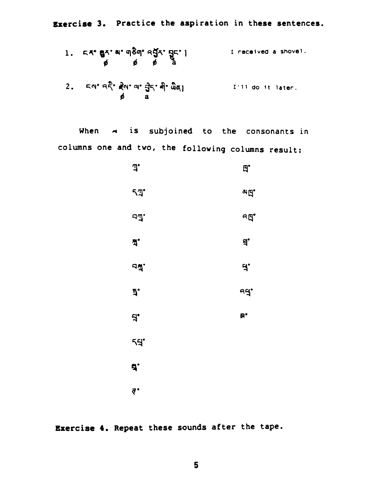Exercise 3. Practice the aspiration in these sentences.

| 1. $54^\circ$ 84° $4^\circ$ 984° $4\frac{5}{4}\frac{7}{4}$ ° $85^\circ$ °                      | 1 received a shock! |
|------------------------------------------------------------------------------------------------|---------------------|
| 2. $54^\circ$ 48° $\frac{2}{3}$ ° $4^\circ$ 4° $\frac{3}{4}$ ° $\frac{3}{4}$ ° $\frac{3}{4}$ ° | 1′11 do it later.   |
| 4. $4^\circ$ 4° $\frac{2}{3}$ ° $\frac{2}{3}$ ° $\frac{2}{3}$ ° $\frac{2}{3}$ °                | 1′11 do it later.   |

When  $\rightarrow$  is subjoined to the consonants in columns one and two, the following columns result:

| J.           | $\mathbf{p}$ |
|--------------|--------------|
| 5 T          | ag.          |
| ьđ.          | ዓይ<br>የ      |
| ă.           | <u>ម្</u>    |
| JÃ.          | $\mathbf{A}$ |
| ì,           | ud.          |
| $\mathbf{B}$ | B,           |
| -15          |              |
| 5.           |              |
| ₹.           |              |

Exercise 4. Repeat these sounds after the tape.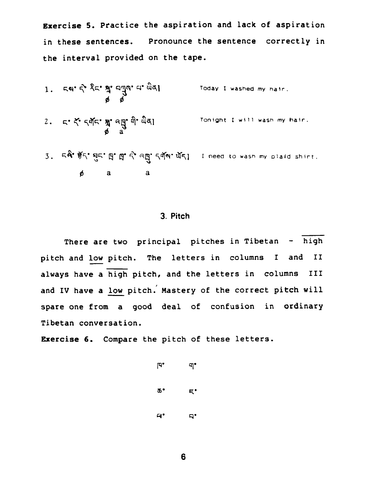**Exercise 5. Practice the aspiration and lack of aspiration in these sentences. Pronounce the sentence correctly in the interval provided on the tape.** 

- $1.$   $59.5$   $35.9$   $4.99$   $4.94$ Today I washed my hair.
- $2.555$   $5.5753$   $3.9953$ <br> $4.9953$ <br> $4.9953$ **Tonight I will wash my hair.**
- 3. **52<sup>\*</sup> 第5<sup>\*</sup> 每5<sup>\*</sup> \$1 \$1 \$2 <sup>2</sup> ag · 544 · 451 I need to wasn my plaid shirt.** *<sup>B</sup>*a a

#### **3. Pitch**

**There are two principal pitches in Tibetan** - **high**  There are two principal pitches in Tibetan - high<br>pitch and <u>low</u> pitch. The letters in columns I and II **always have a high pitch, and the letters in columns** I11 pitch and <u>low</u> pitch. The letters in columns I and II<br>always have a high pitch, and the letters in columns III<br>and IV have a low pitch. Mastery of the correct pitch will **spare one from a good deal of confusion in ordinary Tibetan conversation.** 

**mercise 6. Compare the pitch of these letters.** 

 $\mathbb{R}^{\bullet}$  $\P^{\bullet}$ Φ٠  $E^*$  $\mathbf{A}^{\bullet}$  $\mathbf{q}$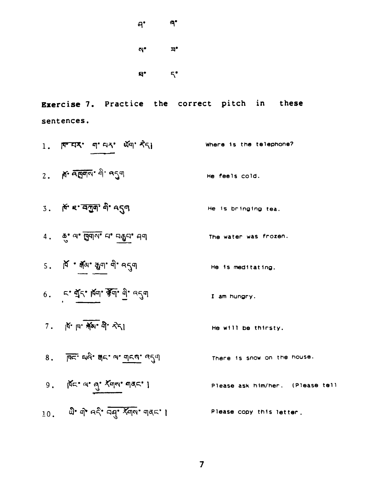| ႕• | ۹. |
|----|----|
| ন' | ョ• |
| d. | 5. |

**Exercise 7.** Practice the correct pitch in these **sentences.** 

**Where Is the telephone?**  2. শ নত্ত্ৰান <sup>এ</sup> ন**্ব**ণ **He feels cold.**  3. मिं ह बनुष पै १९९ **He is bringing tea.**  4. 5° 20° gqq 20° 59 gqq 49  **he water was frozen.**   $5.$   $\overline{A}$   $\cdot$   $\overline{A}$ <sub>3</sub> $\cdot$   $\overline{A}$ <sub>3</sub> $\cdot$   $\overline{A}$ <sub>3</sub> $\cdot$   $\overline{A}$   $\cdot$   $\overline{A}$ **He Is meditating.**   $6.$   $5.$   $\frac{1}{4}$   $\frac{1}{4}$   $\frac{1}{4}$   $\frac{1}{4}$   $\frac{1}{4}$   $\frac{1}{4}$   $\frac{1}{4}$   $\frac{1}{4}$   $\frac{1}{4}$   $\frac{1}{4}$   $\frac{1}{4}$   $\frac{1}{4}$   $\frac{1}{4}$ **I am hungry. He will be thirsty.**  8. क्टि. सर्वे. मेट. ज. बोटर, उरी **There Is Snow on the house.**   $9.$   $\pi$   $\alpha$   $\alpha$   $\gamma$   $\chi$  $\eta$  $\gamma$   $\eta$  $\alpha$   $\gamma$  } **Please ask hIm/her. (Please tell**  10. 20. में वहें वसु स्वर बार ! **Please copy this letter.**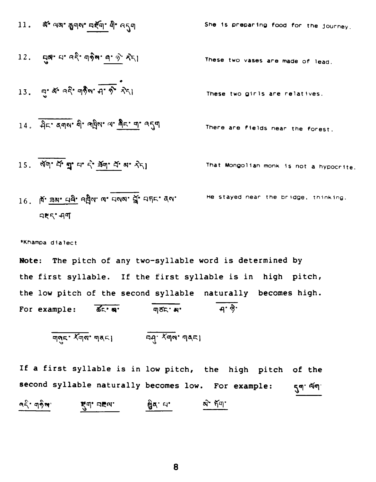| 11. $\vec{a}^T \text{ a}^T \text{ a}^T \text{ a}^T \text{ a}^T \text{ a}^T \text{ a}^T \text{ a}^T \text{ a}^T \text{ a}^T \text{ a}^T \text{ a}^T \text{ a}^T \text{ a}^T \text{ a}^T \text{ a}^T \text{ a}^T \text{ a}^T \text{ a}^T \text{ a}^T \text{ a}^T \text{ a}^T \text{ a}^T \text{ a}^T \text{ a}^T \text{ a}^T \text{ a}^T \text{ a}^T \text{ a}^T \text{ a}^T \text{ a}^T \text{ a}^T \text{ a}^T \text{ a}^T \text{ a}^T \text{ a}^T \text{ a}^T \text{ a}^T \text{ a}^T \text{ a}^T \text{ a}^T \text{ a}^T \text{ a}^T \text{ a}^T \text{ a}^T \text{ a}^T \text{ a}^T \text{ a}^T \text{ a}^T \text{ a}^T \text{ a}^T \text{ a}^T \text{ a}^T \text{ a}^T \text{ a}^T \text{ a}^T \text{ a}^T \text{ a}^T \text{ a}^T \text{ a}^T \text{ a}^T \text{ a}^T \text{ a}^T \text{ a}^T \text{ a}^T \text{ a}^T \text{ a}^T \text{ a}^T \text{ a}^T \text{ a}^T \text{ a}^T \text{ a}^T \text{ a}^T \text{ a}^T \text{ a}^T \text{ a}^T \text{ a}^T \text{ a}^T \text{ a}^T \text{ a}^T \text{ a}^T \text{ a}^T \text{ a}^T \text{ a}^T \text{ a}^T \text{ a}^T \text{ a}^T \text{ a}^T \text{ a}^T \text{ a}^T \text{ a}^T \text{ a}^T \text{ a}^T \text{ a}^T \text{ a}^T \text{ a}^T \text{ a}^T \text{ a}^T \text{ a}^T \text{ a}^T \text{ a}^T \text{ a}^T \text{ a}^T \text{ a}^T \text{ a}^T \text{ a}^T \text{ a}^T$ |
|-----------------------------------------------------------------------------------------------------------------------------------------------------------------------------------------------------------------------------------------------------------------------------------------------------------------------------------------------------------------------------------------------------------------------------------------------------------------------------------------------------------------------------------------------------------------------------------------------------------------------------------------------------------------------------------------------------------------------------------------------------------------------------------------------------------------------------------------------------------------------------------------------------------------------------------------------------------------------------------------------------------------------------------------------------------------------------------------------------------------------------------------------------------------------------------------------------------------------------------------------------------------------------------------------------------------------------------------|
|-----------------------------------------------------------------------------------------------------------------------------------------------------------------------------------------------------------------------------------------------------------------------------------------------------------------------------------------------------------------------------------------------------------------------------------------------------------------------------------------------------------------------------------------------------------------------------------------------------------------------------------------------------------------------------------------------------------------------------------------------------------------------------------------------------------------------------------------------------------------------------------------------------------------------------------------------------------------------------------------------------------------------------------------------------------------------------------------------------------------------------------------------------------------------------------------------------------------------------------------------------------------------------------------------------------------------------------------|

**\*KhamDa dialect** 

Note: The pitch of any two-syllable word is determined by the first syllable. If the first syllable is in high pitch, the low pitch of the second syllable naturally becomes high. For example:  $\overline{dc} \cdot \overline{a}$  **a**  $\overline{q5} \cdot \overline{a}$  **a**  $\overline{q} \cdot \overline{\hat{q}}$ 

$$
\underline{diag} \cdot \underline{x} \underline{d} \underline{a}, \underline{a} \underline{d} \underline{c} \}
$$

If a first syllable is in low pitch, the high pitch of the second syllable naturally becomes low. For example: 5q<sup>. Aq.</sup>  $\frac{1}{2}$   $\frac{1}{2}$   $\frac{1}{2}$   $\frac{1}{2}$   $\frac{1}{2}$   $\frac{1}{2}$   $\frac{1}{2}$   $\frac{1}{2}$   $\frac{1}{2}$   $\frac{1}{2}$   $\frac{1}{2}$   $\frac{1}{2}$   $\frac{1}{2}$   $\frac{1}{2}$   $\frac{1}{2}$   $\frac{1}{2}$   $\frac{1}{2}$   $\frac{1}{2}$   $\frac{1}{2}$   $\frac{1}{2}$   $\frac{1}{2}$   $\frac{1}{2}$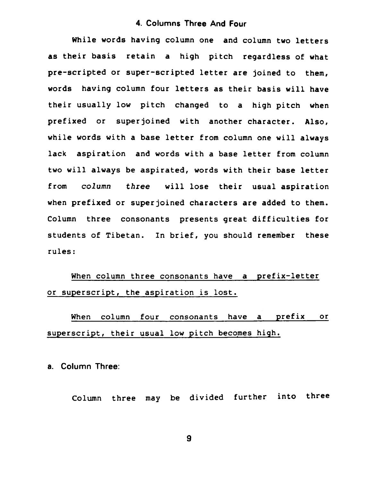#### **4. Columns Three And Four**

While words having column one and column two letters **as** their basis retain a high pitch regardless of what pre-scripted or super-scripted letter are joined to them, words having column four letters as their basis will have their usually low pitch changed to a high pitch when prefixed or superjoined with another character. Also, while words with a base letter from column one will always lack aspiration and words with a base letter from column two will always be aspirated, words with their base letter from column *three* will lose their usual aspiration when prefixed or superjoined characters are added to them. Column three consonants presents great difficulties for students of Tibetan. In brief, you should remember these rules:

When column three consonants have a prefix-letter or superscript, the aspiration is lost.

When column four consonants have a prefix or superscript, their usual low pitch becomes high.

**a. Column Three:** 

Column three may be divided further into three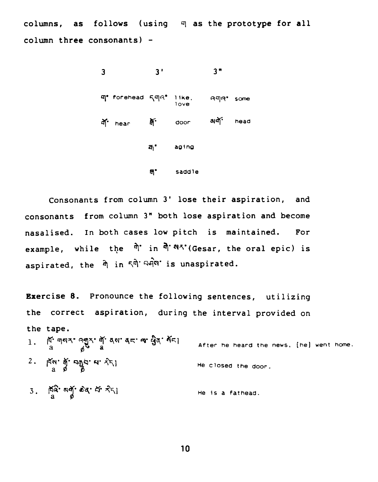columns, as follows (using q as the prototype for all column three consonants) -

| 3               |                           | 3'       |           | 3"                |  |
|-----------------|---------------------------|----------|-----------|-------------------|--|
|                 | या' forehead ६ पात । 1ke, |          | 1ove      | <b>A</b> ୩୧° some |  |
| ্রাণ<br>df hear |                           | door     | aidf head |                   |  |
|                 |                           | 좌° aging |           |                   |  |
|                 |                           | υ.       | saddle    |                   |  |

Consonants from column 3' lose their aspiration, and consonants from column 3" both lose aspiration and become nasalised. In both cases low pitch is maintained. For example, while the  $\hat{\mathbb{q}}$  in  $\hat{\mathbb{q}} \cdot \hat{\mathbb{q}}$ <sup>2</sup>'(Gesar, the oral epic) is aspirated, the **9** in **54' qJ?qrr.** is unaspirated.

Exercise 8. Pronounce the following sentences, utilizing the correct aspiration, during the interval provided on the tape. 1. **qq5. '3"** qN' **qq. g4\* After he heard the news. [he] went ha**  a 6" **a** 

- $2.$   $\pi$ <sup>a</sup>  $\frac{3}{2}$   $\pi$   $\frac{3}{2}$   $\pi$   $\pi$   $\pi$   $\pi$ ) **He closed the door.**
- 3.  $\pi_a^2$  ag od  $\pi_a^2$ **He is a fathead**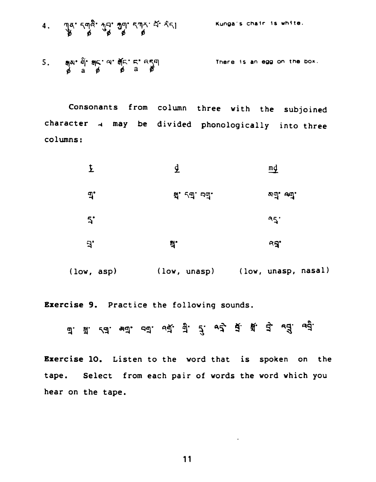**Kunga's chair 1s uhlte.** 

5. apararararatarrangan<br>da da da da **There is an egg on the boa.** 

**Consonants from column three with the subjoined character 4 may be divided phonologically into three columns** :

|              | $\overline{\mathbf{A}}$   | md          |
|--------------|---------------------------|-------------|
| $\mathbf{P}$ | <b>ส.</b> <i>เ</i> ส. อส. | ष्णे. ज्ये. |
| 5            |                           | 95.         |
| $\mathbf{B}$ | E.                        | ਼ਖ਼,        |
|              |                           |             |

**(low, asp) (low, unasp) (low, unasp, nasal)** 

**Exercise 9. Practice the following sounds.** 

**q.** q. **\q. a'?. qq\* Q q\* 5- g. 46. g- \*9'** *'33* **<sup>U</sup>**

**Exercise 10. Listen to the word that is spoken on the tape. Select from each pair of words the word which you hear on the tape.**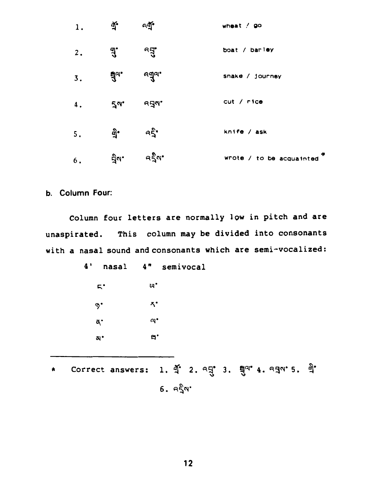| 1. | ब्र्•         | নন্মূ          | wheat $/$ go             |
|----|---------------|----------------|--------------------------|
| 2. | <u>नुः</u>    | न्द् $\vec{a}$ | boat / barley            |
| 3. | मु $\alpha$ ' | ବ୍ୟୁଙ୍         | snake / journey          |
| 4. | $5^{\circ}$   | ନ୍ଦ୍ର ।        | cut / rice               |
| 5. | କ୍ରି•         | ้ ครั้         | knife / ask              |
| 6. | ਸ਼੍ਰੋਕ•       | ৭ইন'           | wrote / to be acquainted |

#### **b. Column Four:**

**Column four letters are normally low in pitch and are unaspirated. This column may be divided into consonants with a nasal sound andconsonants which are semi-vocalized:** 

| 4'<br>nasal | 4" semivocal                                                                         |       |
|-------------|--------------------------------------------------------------------------------------|-------|
| г.          | щ.                                                                                   |       |
| გ.          | ี่ ิั้ง*                                                                             |       |
| đ.          | $\mathbf{a}$ .                                                                       |       |
| a,          | $\mathbf{a}$ .                                                                       |       |
|             |                                                                                      |       |
| ----        | $\cdot$ $\cdot$<br>$9001$ $1001$<br>$\sim$ $\sim$ $\sim$<br>$\overline{\phantom{0}}$ | ಲ್ಲಿ. |

\* **Correct answers: 1.**  $\oint_0^4$  **2.**  $\alpha \frac{d^4}{d^4}$  3.  $\frac{d^4}{d^4}$  4.  $\alpha \frac{d^4}{d^4}$  5.  $\frac{d^4}{d^4}$ **6. q\$q\***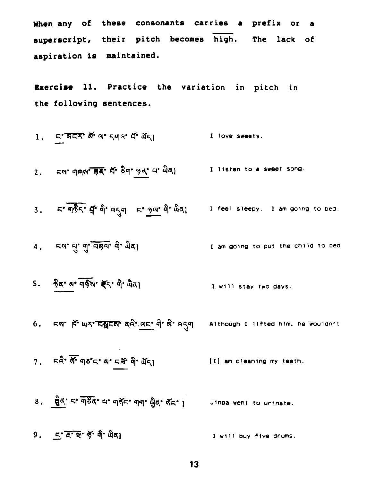**When any of these coneonante carries a prefix or a**  When any of these consonants carries a prefix or a<br>interscript, their pitch becomes high. The lack of **aspiration is maintained.** 

**Exercise 11. Practice the variation in pitch in the following sentences.** 

1. 
$$
5.7757 \times 1000
$$
  $4.415$   $4.415$   $5.415$   $5.415$   $1.415$ 

**2.** &rl9 **qqn\*w 4' %q0 9~ qm %3]** I **listen to a sweet song.**  ' ਘૅ**ર**|<br><mark>જુવ્' ઘ' ਘੈ</mark>ં

**3.** *K* **q**<sup>\$</sup> **q**<sup>\*</sup> **q**<sup>\*</sup> **q**<sup>\*</sup> **q**<sup>\*</sup> **q**<sup>\*</sup>  $\frac{1}{2}$  **a 1 feel sleepy. I am** going to bed.

4. 54' H' 9' 034' 9' wal **I am going to put the child to bed** 

5. हैद' अ' बार्किय' हैंद' बी' खैद। I **will stay two days.** 

6. EN' A UK' DATEN' and an and a computer of the model of the wouldn't

[I] **am cleaning my teeth.** 

7. ER<sup>2</sup> **N**<sup>2</sup> qp<sup>2</sup> E<sup>2</sup> a' qi<sup>2</sup> q<sup>2</sup> qi<sup>2</sup> qq<sup>2</sup> qq<sup>2</sup> qq<sup>2</sup> qq<sup>2</sup> qq<sup>2</sup> qq<sup>2</sup> qq<sup>2</sup> qq<sup>2</sup> qq<sup>2</sup> qc<sup>2</sup> a<sup>1</sup> b an cleaning my tee

9. **K<sup>-</sup> ह<sup>•</sup> से<sup>•</sup> मैं<sup>•</sup> ਘੈ<sub>9</sub> <b>A**<sup>1</sup> ਘੈ4) I will buy five drums.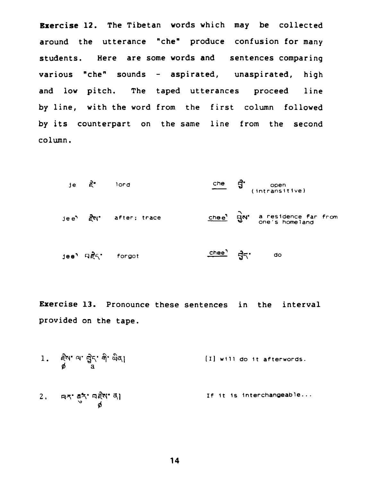**Exercise 12. The Tibetan words which may be collected around the utterance "che" produce confusion for many students. Here are some words and sentences comparing various "che" sounds** - **aspirated, unaspirated, high and low pitch. The taped utterances proceed line by line, with the word from the first column followed by its counterpart on the same line from the second column.** 

je 
$$
\vec{\epsilon}
$$
 *lord*  $\vec{\Omega}$  *open (intransitive)*

\nje  $\vec{\epsilon}$   $\vec{\epsilon}$  *ifier; trace*  $\vec{\Omega}$  *close*  $\vec{\Omega}$  *are is home an one is home one is home one is home one is home one is home one is home one is home one is home one one one one one one one one one one one one one one one one one one one one one one one one one one one one one one one one one one one one one one one one one one one one one one one one one one one one one one one one one one one one one one one one one one one one one one one one one one* <

**Exercise 13. Pronounce these sentences in the interval provided on the tape.** 

1. द्वैष' २' चुैन्' नै' ਘੈਕ।<br>ø **(11 will do It afterwords.** 

**1f It Is Interchangeable..**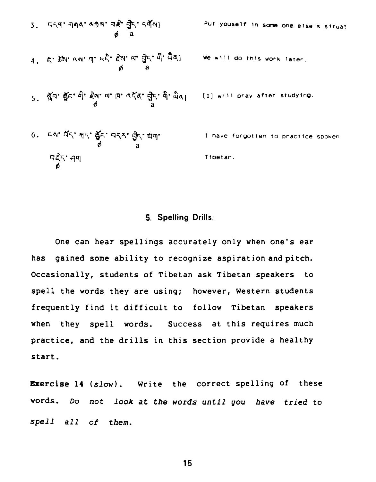#### 5. Spelling Drills:

One can hear spellings accurately only when one's ear gained some ability to recognize aspiration and pitch. has Occasionally, students of Tibetan ask Tibetan speakers to spell the words they are using; however, Western students frequently find it difficult to follow Tibetan speakers when they spell words. Success at this requires much practice, and the drills in this section provide a healthy start.

**Exercise 14** (slow). Write the correct spelling of these words. Do not look at the words until you have tried to spell all of them.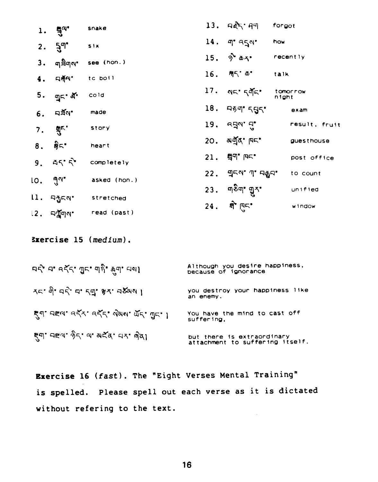|    | 1. $\frac{1}{2}a^2$                   | snake           | 13. पहेर मण                              | forgot            |
|----|---------------------------------------|-----------------|------------------------------------------|-------------------|
|    | 2. $5^{q}$                            | S <sub>ix</sub> | $14.$ q' $959'$                          | how               |
|    | 3. <sub>प</sub> ट्टी <sub>पा</sub> ष' | see (hon.)      | 15. $\hat{\theta}$ $\Delta \xi$ recently |                   |
|    | $4.$ $\nabla \tilde{A}^{\alpha}$      | to bott         | $16.$ $M5. a.$                           | talk              |
|    | 5. ਗੁ⊂∙ ਕੋਂ•                          | cold            | 17. AF. 595.                             | tomorrow<br>night |
|    | $6.$ $\nabla \geqslant N$             | made            | 18. 959'595'                             | exam              |
| 7. | श्रुष्ट.                              | story           | 19. વ <sub>ર્</sub> ષ' વુ'               | result, fruit     |
|    | 8. ஜெ-்                               | heart           | 20. and r F-                             | guesthouse        |
|    | 9.75                                  | completely      | 21. 947 F                                | post office       |
|    | ເ໐ <b>. <sub>ື</sub>ຕ</b> "           | asked (hon.)    | 22. ଘୁଟ <b>ଏ'</b> ୩' ସକୁସ'               | to count          |
|    |                                       |                 | $23.$ ण <sup>5</sup> ण' ग़ुर'            | unified           |
|    | ll. คฎู่เจ°                           | stretched       | 24. मी एक                                | window            |
|    | ।2 <b>. নশ্মু</b> লম'                 | read (past)     |                                          |                   |

**3xercise 15 (medium).** 

| ਸਨ੍ਹੇ ਸਾ ਕਨ੍ਹੱ ਗੁਸਾ ਗ੍ਹਾਂ <sub>ਲੋਗਾ</sub> ਸ਼ਾਮ। | Although you desire happiness,<br>because of ignorance        |
|-------------------------------------------------|---------------------------------------------------------------|
| रदा वो वदो वा द्युः श्ररा व&यल ।                | you destroy your happiness like<br>an enemy.                  |
| हूंग' पह्ना वर्दर वर्दर योजय गर गुर ।           | You have the mind to cast off<br>suffering.                   |
| ह्या पद्य हैर य अर्दर पर बेता                   | but there is extraordinary<br>attachment to suffering itself. |

**Exercise 16 (fast). The "Eight Verses Mental Traininq" is spelled. Please spell out each verse as it is dictated without refering to the text.**  $\sim$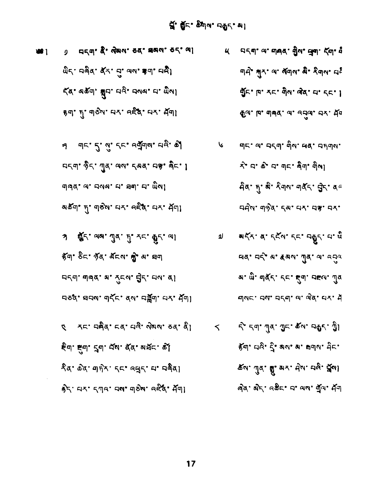$$
\frac{2}{3}x^{1} + 5x^{1} - 5x^{1} + 5x^{2} + 6x^{3} + 6x^{4} + 6x^{5} + 6x^{4} + 6x^{5} + 6x^{6} + 6x^{7} + 6x^{8} + 6x^{9} + 6x^{1} + 6x^{1} + 6x^{1} + 6x^{1} + 6x^{1} + 6x^{1} + 6x^{1} + 6x^{1} + 6x^{1} + 6x^{1} + 6x^{1} + 6x^{1} + 6x^{1} + 6x^{1} + 6x^{1} + 6x^{1} + 6x^{1} + 6x^{1} + 6x^{1} + 6x^{1} + 6x^{1} + 6x^{1} + 6x^{1} + 6x^{1} + 6x^{1} + 6x^{1} + 6x^{1} + 6x^{1} + 6x^{1} + 6x^{1} + 6x^{1} + 6x^{1} + 6x^{1} + 6x^{1} + 6x^{1} + 6x^{1} + 6x^{1} + 6x^{1} + 6x^{1} + 6x^{1} + 6x^{1} + 6x^{1} + 6x^{1} + 6x^{1} + 6x^{1} + 6x^{1} + 6x^{1} + 6x^{1} + 6x^{1} + 6x^{1} + 6x^{1} + 6x^{1} + 6x^{1} + 6x^{1} + 6x^{1} + 6x^{1} + 6x^{1} + 6x^{1} + 6x^{1} + 6x^{1} + 6x^{1} + 6x^{1} + 6x^{1} + 6x^{1} + 6x^{1} + 6x^{1} + 6x^{1} + 6x^{1} + 6x^{1} + 6x^{1} + 6x^{1} + 6x^{1} + 6x^{1} + 6x^{1} + 6x^{1} + 6x^{1} + 6x^{1} + 6x^{1} + 6x^{1} + 6x^{1} + 6x^{1} + 6x^{1} + 6x^{1} + 6x^{1} + 6x^{1} + 6x^{1} + 6x^{1} + 6x^{1} + 6x^{1} + 6x^{1} + 6x^{1} + 6x^{1} + 6x^{1} + 6x^{1} + 6x^{1}
$$

 $\bullet$ 

 $\sim$ 

து. ஜீட். ஜாச். சிட். சி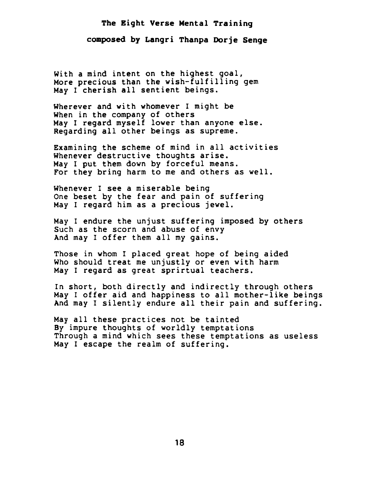### The Eight Verse Mental Training composed by Langri Thanpa Dorje Senge

With a mind intent on the highest goal, More precious than the wish-fulfilling gem May I cherish all sentient beings.

Wherever and with whomever I might be When in the company of others May I regard myself lower than anyone else. Regarding all other beings as supreme.

Examining the scheme of mind in all activities Whenever destructive thoughts arise. May I put them down by forceful means. For they bring harm to me and others as well.

Whenever I see a miserable being One beset by the fear and pain of suffering May I regard him as a precious jewel.

May I endure the unjust suffering imposed by others Such as the scorn and abuse of envy And may I offer them all my gains.

Those in whom I placed great hope of being aided Who should treat me unjustly or even with harm May I regard as great sprirtual teachers.

In short, both directly and indirectly through others May I offer aid and happiness to all mother-like beings And may I silently endure all their pain and suffering.

May all these practices not be tainted By impure thoughts of worldly temptations Through a mind which sees these temptations as useless May I escape the realm of suffering.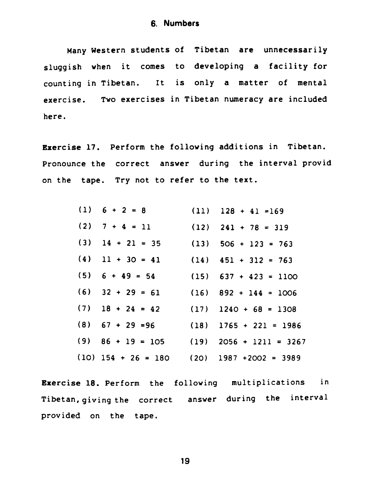**Many Western students of Tibetan are unnecessarily sluggish when it comes to developing a facility for counting in Tibetan. It is only a matter of mental exercise. Two exercises in Tibetan numeracy are included here.** 

**Exercise 17. Perform the following additions in Tibetan. Pronounce the correct answer during the interval provid on the tape. Try not to refer to the text.** 

| $(1) 6 + 2 = 8$                              | $(11)$ $128 + 41 = 169$                     |
|----------------------------------------------|---------------------------------------------|
| (2) $7 + 4 = 11$ (12) $241 + 78 = 319$       |                                             |
| $(3)$ 14 + 21 = 35                           | $(13)$ 506 + 123 = 763                      |
| (4) $11 + 30 = 41$ (14) $451 + 312 = 763$    |                                             |
| $(5)$ 6 + 49 = 54 (15) 637 + 423 = 1100      |                                             |
| $(6)$ 32 + 29 = 61 (16) 892 + 144 = 1006     |                                             |
| $(7)$ 18 + 24 = 42 (17) 1240 + 68 = 1308     |                                             |
| $(8)$ 67 + 29 = 96 (18) 1765 + 221 = 1986    |                                             |
|                                              | $(9)$ 86 + 19 = 105 (19) 2056 + 1211 = 3267 |
| $(10)$ 154 + 26 = 180 (20) 1987 +2002 = 3989 |                                             |

**Exercise 18. Perform the following multiplications in Tibetan, giving the correct answer during the interval provided on the tape.**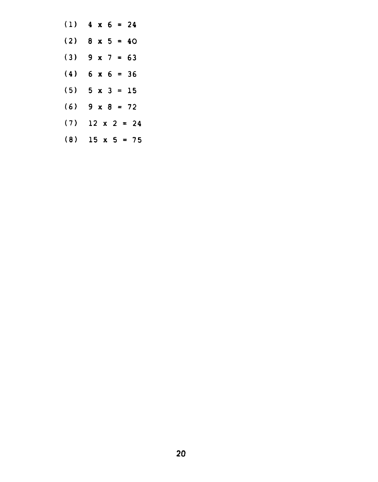| (1) | $4 \times 6 = 24$     |
|-----|-----------------------|
| (2) | $8 \times 5 = 40$     |
| (3) | $9x7 = 63$            |
| (4) | $6 \times 6 = 36$     |
| (5) | $5 \times 3 = 15$     |
| (6) | 9 x 8<br>$= 72$       |
| (7) | $12 \times 2 = 24$    |
| (8) | $15 \times 5 =$<br>75 |